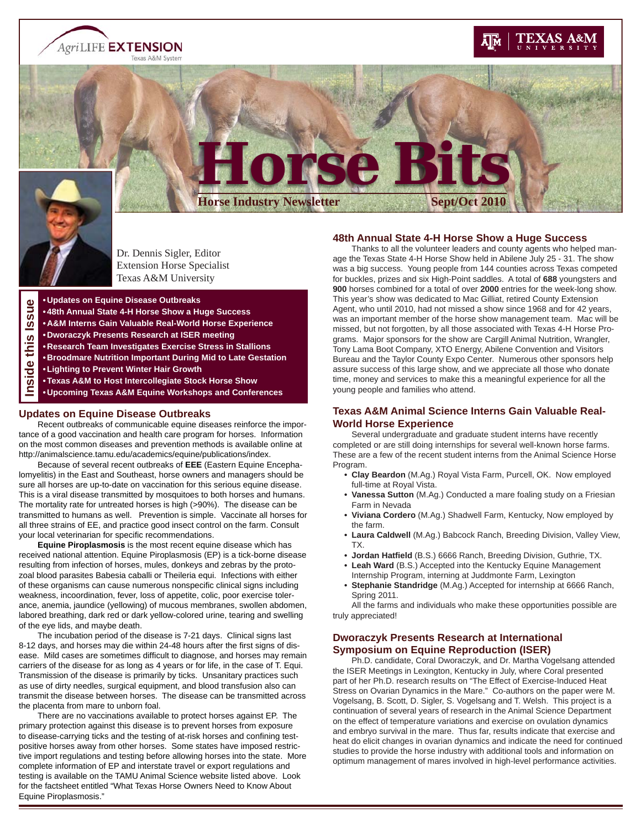**AgriLIFE EXTENSION** Texas A&M System

# EXAS A&M



ゕ

Dr. Dennis Sigler, Editor Extension Horse Specialist Texas A&M University

**• Updates on Equine Disease Outbreaks**

- **48th Annual State 4-H Horse Show a Huge Success**
- **Issue • A&M Interns Gain Valuable Real-World Horse Experience**
- **Inside this Issue• Dworaczyk Presents Research at ISER meeting** (၈
	- **Research Team Investigates Exercise Stress in Stallions**
- έ **• Broodmare Nutrition Important During Mid to Late Gestation**  $\overline{de}$ 
	- **Lighting to Prevent Winter Hair Growth**
	- **Texas A&M to Host Intercollegiate Stock Horse Show**
	- **Upcoming Texas A&M Equine Workshops and Conferences**

#### **Updates on Equine Disease Outbreaks**

 Recent outbreaks of communicable equine diseases reinforce the importance of a good vaccination and health care program for horses. Information on the most common diseases and prevention methods is available online at http://animalscience.tamu.edu/academics/equine/publications/index.

 Because of several recent outbreaks of **EEE** (Eastern Equine Encephalomyelitis) in the East and Southeast, horse owners and managers should be sure all horses are up-to-date on vaccination for this serious equine disease. This is a viral disease transmitted by mosquitoes to both horses and humans. The mortality rate for untreated horses is high (>90%). The disease can be transmitted to humans as well. Prevention is simple. Vaccinate all horses for all three strains of EE, and practice good insect control on the farm. Consult your local veterinarian for specific recommendations.

**Equine Piroplasmosis** is the most recent equine disease which has received national attention. Equine Piroplasmosis (EP) is a tick-borne disease resulting from infection of horses, mules, donkeys and zebras by the protozoal blood parasites Babesia caballi or Theileria equi. Infections with either of these organisms can cause numerous nonspecific clinical signs including weakness, incoordination, fever, loss of appetite, colic, poor exercise tolerance, anemia, jaundice (yellowing) of mucous membranes, swollen abdomen, labored breathing, dark red or dark yellow-colored urine, tearing and swelling of the eye lids, and maybe death.

 The incubation period of the disease is 7-21 days. Clinical signs last 8-12 days, and horses may die within 24-48 hours after the first signs of disease. Mild cases are sometimes difficult to diagnose, and horses may remain carriers of the disease for as long as 4 years or for life, in the case of T. Equi. Transmission of the disease is primarily by ticks. Unsanitary practices such as use of dirty needles, surgical equipment, and blood transfusion also can transmit the disease between horses. The disease can be transmitted across the placenta from mare to unborn foal.

 There are no vaccinations available to protect horses against EP. The primary protection against this disease is to prevent horses from exposure to disease-carrying ticks and the testing of at-risk horses and confining testpositive horses away from other horses. Some states have imposed restrictive import regulations and testing before allowing horses into the state. More complete information of EP and interstate travel or export regulations and testing is available on the TAMU Animal Science website listed above. Look for the factsheet entitled "What Texas Horse Owners Need to Know About Equine Piroplasmosis."

#### **48th Annual State 4-H Horse Show a Huge Success**

 **Horse Bits**

**Horse Industry Newsletter Sept/Oct 201** 

 Thanks to all the volunteer leaders and county agents who helped manage the Texas State 4-H Horse Show held in Abilene July 25 - 31. The show was a big success. Young people from 144 counties across Texas competed for buckles, prizes and six High-Point saddles. A total of **688** youngsters and **900** horses combined for a total of over **2000** entries for the week-long show. This year's show was dedicated to Mac Gilliat, retired County Extension Agent, who until 2010, had not missed a show since 1968 and for 42 years, was an important member of the horse show management team. Mac will be missed, but not forgotten, by all those associated with Texas 4-H Horse Programs. Major sponsors for the show are Cargill Animal Nutrition, Wrangler, Tony Lama Boot Company, XTO Energy, Abilene Convention and Visitors Bureau and the Taylor County Expo Center. Numerous other sponsors help assure success of this large show, and we appreciate all those who donate time, money and services to make this a meaningful experience for all the young people and families who attend.

### **Texas A&M Animal Science Interns Gain Valuable Real-World Horse Experience**

 Several undergraduate and graduate student interns have recently completed or are still doing internships for several well-known horse farms. These are a few of the recent student interns from the Animal Science Horse Program.

- **Clay Beardon** (M.Ag.) Royal Vista Farm, Purcell, OK. Now employed full-time at Royal Vista.
- **Vanessa Sutton** (M.Ag.) Conducted a mare foaling study on a Friesian Farm in Nevada
- **Viviana Cordero** (M.Ag.) Shadwell Farm, Kentucky, Now employed by the farm.
- **Laura Caldwell** (M.Ag.) Babcock Ranch, Breeding Division, Valley View, TX.
- **Jordan Hatfi eld** (B.S.) 6666 Ranch, Breeding Division, Guthrie, TX.
- **Leah Ward** (B.S.) Accepted into the Kentucky Equine Management Internship Program, interning at Juddmonte Farm, Lexington
- **Stephanie Standridge** (M.Ag.) Accepted for internship at 6666 Ranch, Spring 2011.

 All the farms and individuals who make these opportunities possible are truly appreciated!

## **Dworaczyk Presents Research at International Symposium on Equine Reproduction (ISER)**

 Ph.D. candidate, Coral Dworaczyk, and Dr. Martha Vogelsang attended the ISER Meetings in Lexington, Kentucky in July, where Coral presented part of her Ph.D. research results on "The Effect of Exercise-Induced Heat Stress on Ovarian Dynamics in the Mare." Co-authors on the paper were M. Vogelsang, B. Scott, D. Sigler, S. Vogelsang and T. Welsh. This project is a continuation of several years of research in the Animal Science Department on the effect of temperature variations and exercise on ovulation dynamics and embryo survival in the mare. Thus far, results indicate that exercise and heat do elicit changes in ovarian dynamics and indicate the need for continued studies to provide the horse industry with additional tools and information on optimum management of mares involved in high-level performance activities.